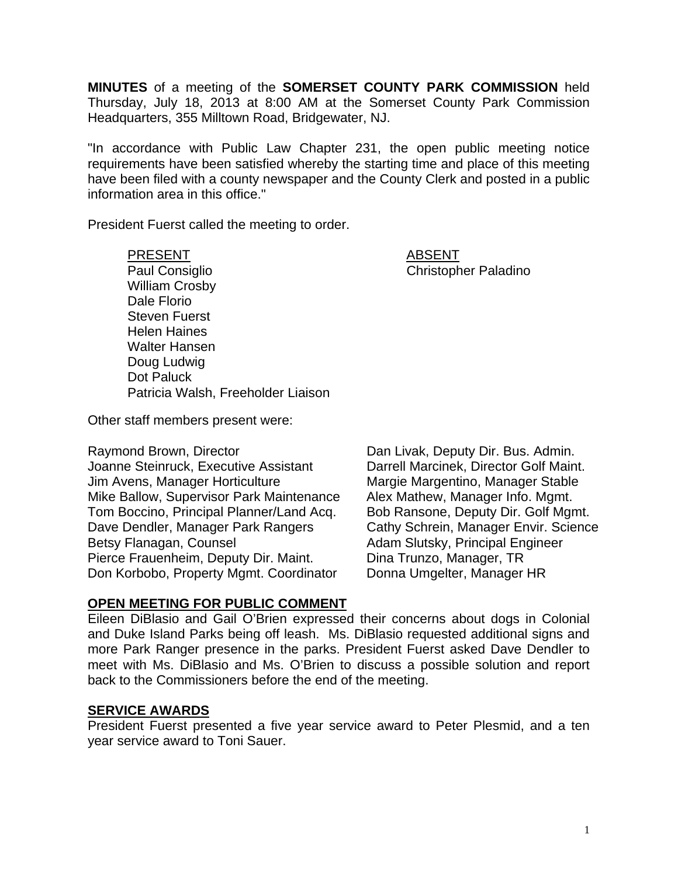**MINUTES** of a meeting of the **SOMERSET COUNTY PARK COMMISSION** held Thursday, July 18, 2013 at 8:00 AM at the Somerset County Park Commission Headquarters, 355 Milltown Road, Bridgewater, NJ.

"In accordance with Public Law Chapter 231, the open public meeting notice requirements have been satisfied whereby the starting time and place of this meeting have been filed with a county newspaper and the County Clerk and posted in a public information area in this office."

President Fuerst called the meeting to order.

PRESENT ABSENT Paul Consiglio Christopher Paladino William Crosby Dale Florio Steven Fuerst Helen Haines Walter Hansen Doug Ludwig Dot Paluck Patricia Walsh, Freeholder Liaison

Other staff members present were:

Raymond Brown, Director **Dan Livak, Deputy Dir. Bus. Admin.** Joanne Steinruck, Executive Assistant Darrell Marcinek, Director Golf Maint. Jim Avens, Manager Horticulture Margie Margentino, Manager Stable Mike Ballow, Supervisor Park Maintenance Alex Mathew, Manager Info. Mgmt. Tom Boccino, Principal Planner/Land Acq. Bob Ransone, Deputy Dir. Golf Mgmt. Dave Dendler, Manager Park Rangers Cathy Schrein, Manager Envir. Science Betsy Flanagan, Counsel **Adam Slutsky, Principal Engineer** Pierce Frauenheim, Deputy Dir. Maint. Dina Trunzo, Manager, TR

Don Korbobo, Property Mgmt. Coordinator Donna Umgelter, Manager HR

## **OPEN MEETING FOR PUBLIC COMMENT**

Eileen DiBlasio and Gail O'Brien expressed their concerns about dogs in Colonial and Duke Island Parks being off leash. Ms. DiBlasio requested additional signs and more Park Ranger presence in the parks. President Fuerst asked Dave Dendler to meet with Ms. DiBlasio and Ms. O'Brien to discuss a possible solution and report back to the Commissioners before the end of the meeting.

#### **SERVICE AWARDS**

President Fuerst presented a five year service award to Peter Plesmid, and a ten year service award to Toni Sauer.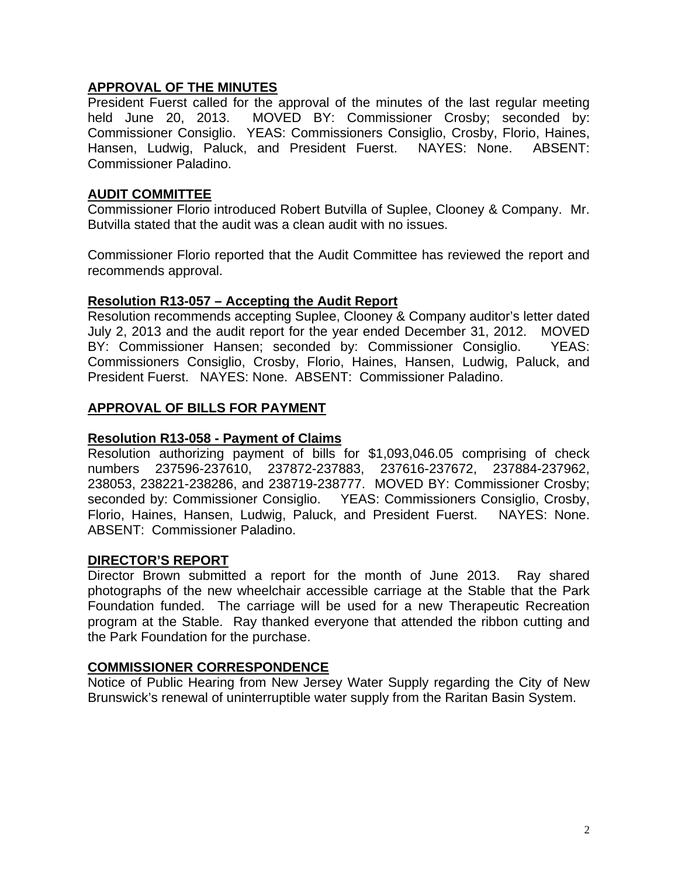## **APPROVAL OF THE MINUTES**

President Fuerst called for the approval of the minutes of the last regular meeting held June 20, 2013. MOVED BY: Commissioner Crosby; seconded by: Commissioner Consiglio. YEAS: Commissioners Consiglio, Crosby, Florio, Haines, Hansen. Ludwig. Paluck. and President Fuerst. NAYES: None. ARSENT Hansen, Ludwig, Paluck, and President Fuerst. NAYES: None. Commissioner Paladino.

## **AUDIT COMMITTEE**

Commissioner Florio introduced Robert Butvilla of Suplee, Clooney & Company. Mr. Butvilla stated that the audit was a clean audit with no issues.

Commissioner Florio reported that the Audit Committee has reviewed the report and recommends approval.

## **Resolution R13-057 – Accepting the Audit Report**

Resolution recommends accepting Suplee, Clooney & Company auditor's letter dated July 2, 2013 and the audit report for the year ended December 31, 2012. MOVED BY: Commissioner Hansen; seconded by: Commissioner Consiglio. YEAS: Commissioners Consiglio, Crosby, Florio, Haines, Hansen, Ludwig, Paluck, and President Fuerst. NAYES: None. ABSENT: Commissioner Paladino.

# **APPROVAL OF BILLS FOR PAYMENT**

## **Resolution R13-058 - Payment of Claims**

Resolution authorizing payment of bills for \$1,093,046.05 comprising of check numbers 237596-237610, 237872-237883, 237616-237672, 237884-237962, 238053, 238221-238286, and 238719-238777. MOVED BY: Commissioner Crosby; seconded by: Commissioner Consiglio. YEAS: Commissioners Consiglio, Crosby, Florio, Haines, Hansen, Ludwig, Paluck, and President Fuerst. NAYES: None. ABSENT: Commissioner Paladino.

## **DIRECTOR'S REPORT**

Director Brown submitted a report for the month of June 2013. Ray shared photographs of the new wheelchair accessible carriage at the Stable that the Park Foundation funded. The carriage will be used for a new Therapeutic Recreation program at the Stable. Ray thanked everyone that attended the ribbon cutting and the Park Foundation for the purchase.

## **COMMISSIONER CORRESPONDENCE**

Notice of Public Hearing from New Jersey Water Supply regarding the City of New Brunswick's renewal of uninterruptible water supply from the Raritan Basin System.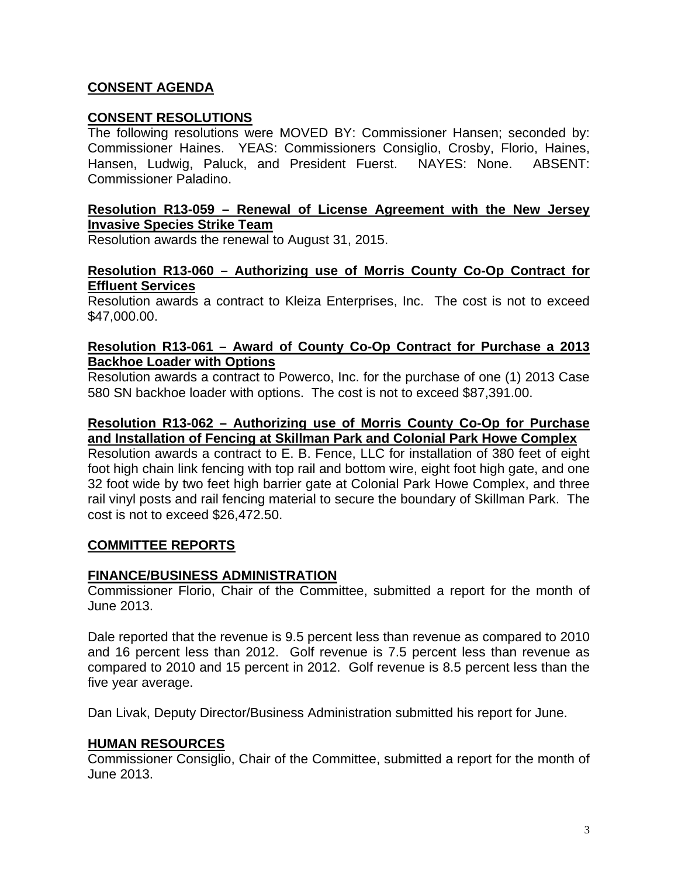# **CONSENT AGENDA**

## **CONSENT RESOLUTIONS**

The following resolutions were MOVED BY: Commissioner Hansen; seconded by: Commissioner Haines. YEAS: Commissioners Consiglio, Crosby, Florio, Haines, Hansen, Ludwig, Paluck, and President Fuerst. NAYES: None. ABSENT: Commissioner Paladino.

## **Resolution R13-059 – Renewal of License Agreement with the New Jersey Invasive Species Strike Team**

Resolution awards the renewal to August 31, 2015.

#### **Resolution R13-060 – Authorizing use of Morris County Co-Op Contract for Effluent Services**

Resolution awards a contract to Kleiza Enterprises, Inc. The cost is not to exceed \$47,000.00.

#### **Resolution R13-061 – Award of County Co-Op Contract for Purchase a 2013 Backhoe Loader with Options**

Resolution awards a contract to Powerco, Inc. for the purchase of one (1) 2013 Case 580 SN backhoe loader with options. The cost is not to exceed \$87,391.00.

## **Resolution R13-062 – Authorizing use of Morris County Co-Op for Purchase and Installation of Fencing at Skillman Park and Colonial Park Howe Complex**

Resolution awards a contract to E. B. Fence, LLC for installation of 380 feet of eight foot high chain link fencing with top rail and bottom wire, eight foot high gate, and one 32 foot wide by two feet high barrier gate at Colonial Park Howe Complex, and three rail vinyl posts and rail fencing material to secure the boundary of Skillman Park. The cost is not to exceed \$26,472.50.

## **COMMITTEE REPORTS**

## **FINANCE/BUSINESS ADMINISTRATION**

Commissioner Florio, Chair of the Committee, submitted a report for the month of June 2013.

Dale reported that the revenue is 9.5 percent less than revenue as compared to 2010 and 16 percent less than 2012. Golf revenue is 7.5 percent less than revenue as compared to 2010 and 15 percent in 2012. Golf revenue is 8.5 percent less than the five year average.

Dan Livak, Deputy Director/Business Administration submitted his report for June.

## **HUMAN RESOURCES**

Commissioner Consiglio, Chair of the Committee, submitted a report for the month of June 2013.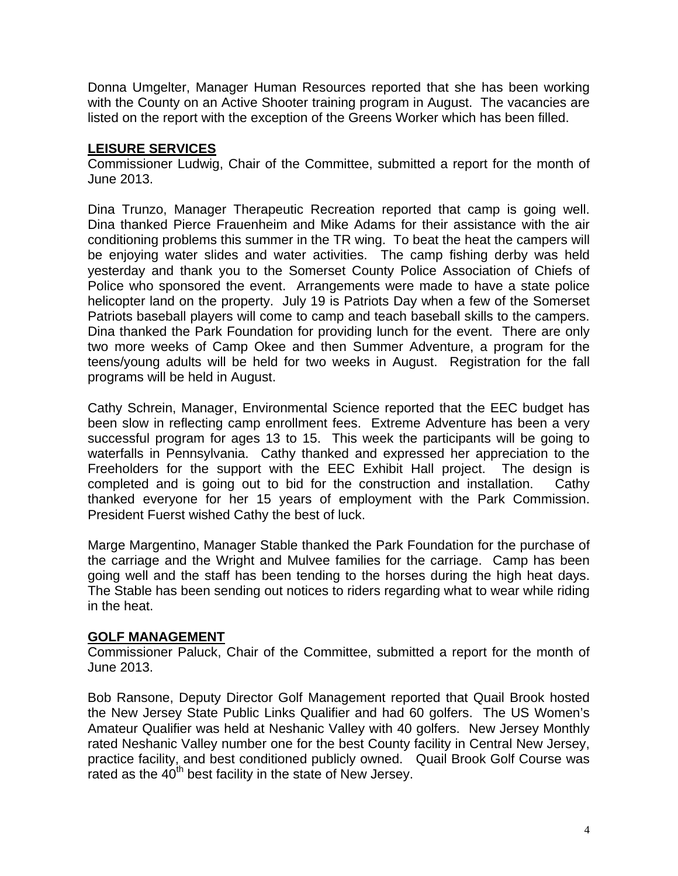Donna Umgelter, Manager Human Resources reported that she has been working with the County on an Active Shooter training program in August. The vacancies are listed on the report with the exception of the Greens Worker which has been filled.

# **LEISURE SERVICES**

Commissioner Ludwig, Chair of the Committee, submitted a report for the month of June 2013.

Dina Trunzo, Manager Therapeutic Recreation reported that camp is going well. Dina thanked Pierce Frauenheim and Mike Adams for their assistance with the air conditioning problems this summer in the TR wing. To beat the heat the campers will be enjoying water slides and water activities. The camp fishing derby was held yesterday and thank you to the Somerset County Police Association of Chiefs of Police who sponsored the event. Arrangements were made to have a state police helicopter land on the property. July 19 is Patriots Day when a few of the Somerset Patriots baseball players will come to camp and teach baseball skills to the campers. Dina thanked the Park Foundation for providing lunch for the event. There are only two more weeks of Camp Okee and then Summer Adventure, a program for the teens/young adults will be held for two weeks in August. Registration for the fall programs will be held in August.

Cathy Schrein, Manager, Environmental Science reported that the EEC budget has been slow in reflecting camp enrollment fees. Extreme Adventure has been a very successful program for ages 13 to 15. This week the participants will be going to waterfalls in Pennsylvania. Cathy thanked and expressed her appreciation to the Freeholders for the support with the EEC Exhibit Hall project. The design is completed and is going out to bid for the construction and installation. Cathy thanked everyone for her 15 years of employment with the Park Commission. President Fuerst wished Cathy the best of luck.

Marge Margentino, Manager Stable thanked the Park Foundation for the purchase of the carriage and the Wright and Mulvee families for the carriage. Camp has been going well and the staff has been tending to the horses during the high heat days. The Stable has been sending out notices to riders regarding what to wear while riding in the heat.

## **GOLF MANAGEMENT**

Commissioner Paluck, Chair of the Committee, submitted a report for the month of June 2013.

Bob Ransone, Deputy Director Golf Management reported that Quail Brook hosted the New Jersey State Public Links Qualifier and had 60 golfers. The US Women's Amateur Qualifier was held at Neshanic Valley with 40 golfers. New Jersey Monthly rated Neshanic Valley number one for the best County facility in Central New Jersey, practice facility, and best conditioned publicly owned. Quail Brook Golf Course was rated as the 40<sup>th</sup> best facility in the state of New Jersey.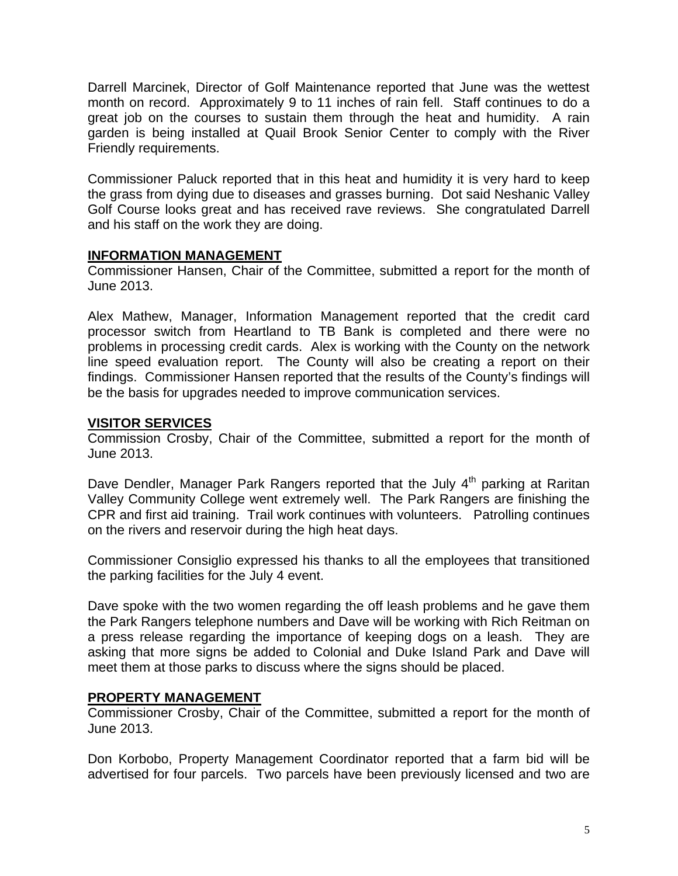Darrell Marcinek, Director of Golf Maintenance reported that June was the wettest month on record. Approximately 9 to 11 inches of rain fell. Staff continues to do a great job on the courses to sustain them through the heat and humidity. A rain garden is being installed at Quail Brook Senior Center to comply with the River Friendly requirements.

Commissioner Paluck reported that in this heat and humidity it is very hard to keep the grass from dying due to diseases and grasses burning. Dot said Neshanic Valley Golf Course looks great and has received rave reviews. She congratulated Darrell and his staff on the work they are doing.

## **INFORMATION MANAGEMENT**

Commissioner Hansen, Chair of the Committee, submitted a report for the month of June 2013.

Alex Mathew, Manager, Information Management reported that the credit card processor switch from Heartland to TB Bank is completed and there were no problems in processing credit cards. Alex is working with the County on the network line speed evaluation report. The County will also be creating a report on their findings. Commissioner Hansen reported that the results of the County's findings will be the basis for upgrades needed to improve communication services.

## **VISITOR SERVICES**

Commission Crosby, Chair of the Committee, submitted a report for the month of June 2013.

Dave Dendler, Manager Park Rangers reported that the July 4<sup>th</sup> parking at Raritan Valley Community College went extremely well. The Park Rangers are finishing the CPR and first aid training. Trail work continues with volunteers. Patrolling continues on the rivers and reservoir during the high heat days.

Commissioner Consiglio expressed his thanks to all the employees that transitioned the parking facilities for the July 4 event.

Dave spoke with the two women regarding the off leash problems and he gave them the Park Rangers telephone numbers and Dave will be working with Rich Reitman on a press release regarding the importance of keeping dogs on a leash. They are asking that more signs be added to Colonial and Duke Island Park and Dave will meet them at those parks to discuss where the signs should be placed.

## **PROPERTY MANAGEMENT**

Commissioner Crosby, Chair of the Committee, submitted a report for the month of June 2013.

Don Korbobo, Property Management Coordinator reported that a farm bid will be advertised for four parcels. Two parcels have been previously licensed and two are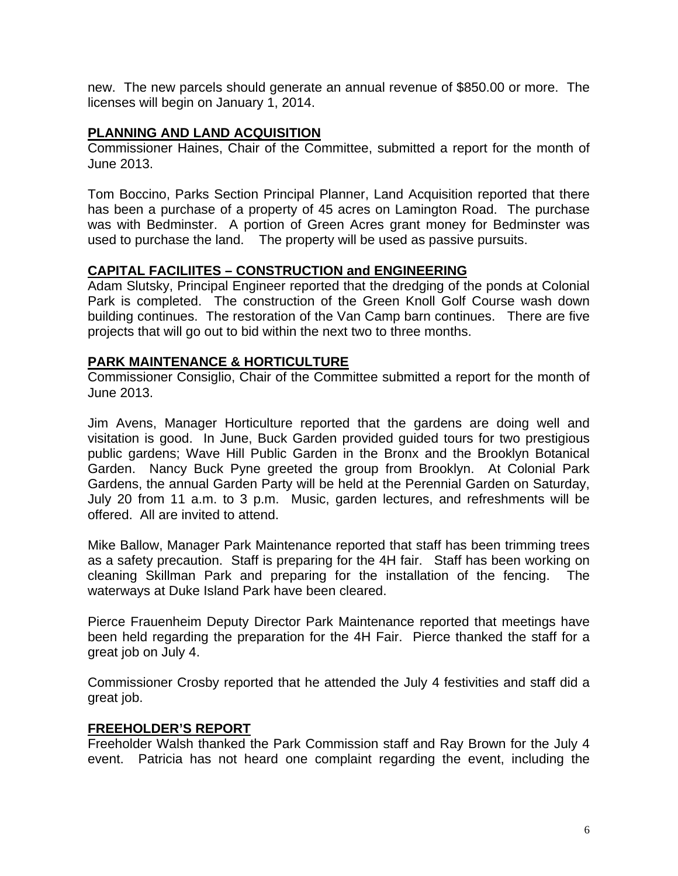new. The new parcels should generate an annual revenue of \$850.00 or more. The licenses will begin on January 1, 2014.

## **PLANNING AND LAND ACQUISITION**

Commissioner Haines, Chair of the Committee, submitted a report for the month of June 2013.

Tom Boccino, Parks Section Principal Planner, Land Acquisition reported that there has been a purchase of a property of 45 acres on Lamington Road. The purchase was with Bedminster. A portion of Green Acres grant money for Bedminster was used to purchase the land. The property will be used as passive pursuits.

## **CAPITAL FACILIITES – CONSTRUCTION and ENGINEERING**

Adam Slutsky, Principal Engineer reported that the dredging of the ponds at Colonial Park is completed. The construction of the Green Knoll Golf Course wash down building continues. The restoration of the Van Camp barn continues. There are five projects that will go out to bid within the next two to three months.

## **PARK MAINTENANCE & HORTICULTURE**

Commissioner Consiglio, Chair of the Committee submitted a report for the month of June 2013.

Jim Avens, Manager Horticulture reported that the gardens are doing well and visitation is good. In June, Buck Garden provided guided tours for two prestigious public gardens; Wave Hill Public Garden in the Bronx and the Brooklyn Botanical Garden. Nancy Buck Pyne greeted the group from Brooklyn. At Colonial Park Gardens, the annual Garden Party will be held at the Perennial Garden on Saturday, July 20 from 11 a.m. to 3 p.m. Music, garden lectures, and refreshments will be offered. All are invited to attend.

Mike Ballow, Manager Park Maintenance reported that staff has been trimming trees as a safety precaution. Staff is preparing for the 4H fair. Staff has been working on cleaning Skillman Park and preparing for the installation of the fencing. The waterways at Duke Island Park have been cleared.

Pierce Frauenheim Deputy Director Park Maintenance reported that meetings have been held regarding the preparation for the 4H Fair. Pierce thanked the staff for a great job on July 4.

Commissioner Crosby reported that he attended the July 4 festivities and staff did a great job.

## **FREEHOLDER'S REPORT**

Freeholder Walsh thanked the Park Commission staff and Ray Brown for the July 4 event. Patricia has not heard one complaint regarding the event, including the